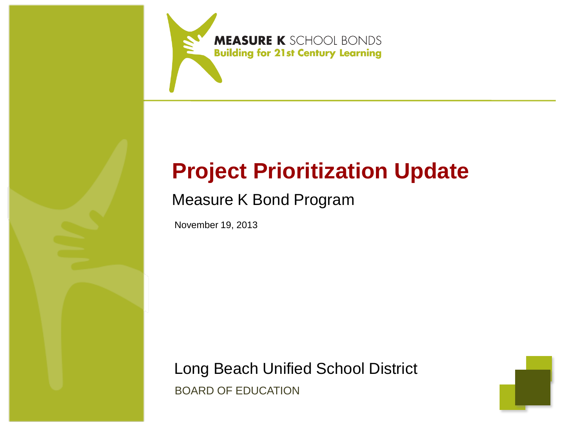

# **Project Prioritization Update**

## Measure K Bond Program

November 19, 2013

Long Beach Unified School District BOARD OF EDUCATION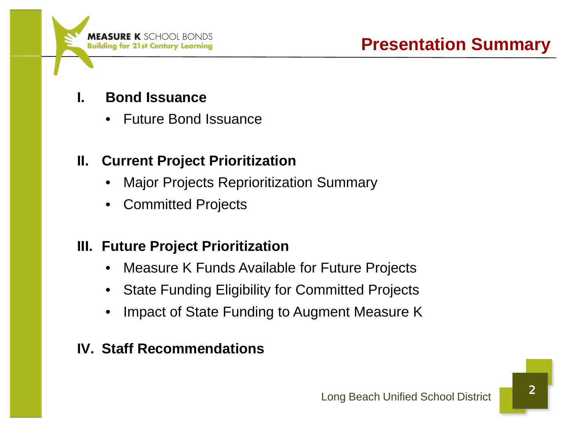

- **I. Bond Issuance**
	- Future Bond Issuance

## **II. Current Project Prioritization**

- Major Projects Reprioritization Summary
- Committed Projects

## **III. Future Project Prioritization**

- Measure K Funds Available for Future Projects
- State Funding Eligibility for Committed Projects
- Impact of State Funding to Augment Measure K

## **IV. Staff Recommendations**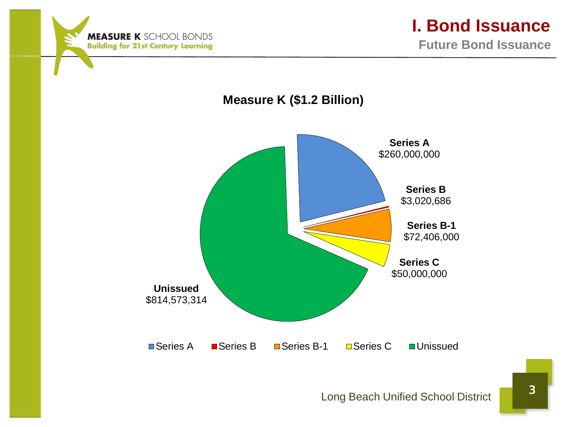



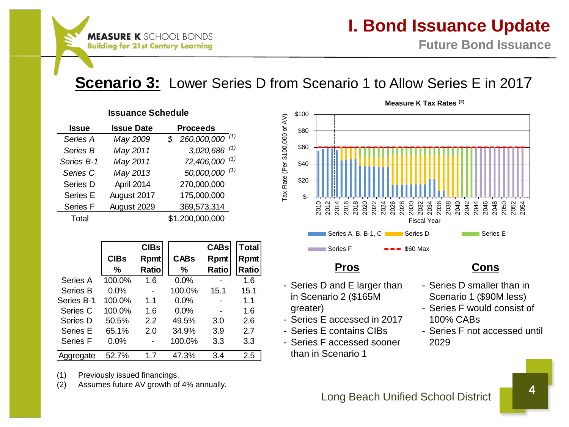## **Scenario 3:** Lower Series D from Scenario 1 to Allow Series E in 2017

#### **Issue Issue Date Proceeds** *Series A May 2009 \$ 260,000,000 (1) Series B May 2011 3,020,686 (1) Series B-1 May 2011 72,406,000 (1) Series C May 2013 50,000,000 (1)* Series D April 2014 270,000,000 Series E August 2017 175,000,000 Series F August 2029 369,573,314 Total \$1,200,000,000 **Issuance Schedule**

|                 |             | <b>CIBs</b> |             | <b>CABs</b> | <b>Total</b> |
|-----------------|-------------|-------------|-------------|-------------|--------------|
|                 | <b>CIBs</b> | Rpmt        | <b>CABs</b> | Rpmt        | Rpmt         |
|                 | %           | Ratio       | %           | Ratio       | Ratio        |
| Series A        | 100.0%      | 1.6         | 0.0%        |             | 1.6          |
| Series B        | 0.0%        |             | 100.0%      | 15.1        | 15.1         |
| Series B-1      | 100.0%      | 11          | 0.0%        |             | 1.1          |
| Series C        | 100.0%      | 1.6         | $0.0\%$     |             | 1.6          |
| Series D        | 50.5%       | 2.2         | 49.5%       | 3.0         | 2.6          |
| Series E        | 65.1%       | 2.0         | 34.9%       | 3.9         | 2.7          |
| <b>Series F</b> | $0.0\%$     |             | 100.0%      | 3.3         | 3.3          |
| Aggregate       | 52.7%       | 17          | 47.3%       | 3.4         | 2.5          |

(1) Previously issued financings.

(2) Assumes future AV growth of 4% annually.



- Series D and E larger than in Scenario 2 (\$165M greater)
- Series E accessed in 2017
- Series E contains CIBs
- Series F accessed sooner than in Scenario 1

### **Pros Cons**

- Series D smaller than in Scenario 1 (\$90M less)
- Series F would consist of 100% CABs
- Series F not accessed until 2029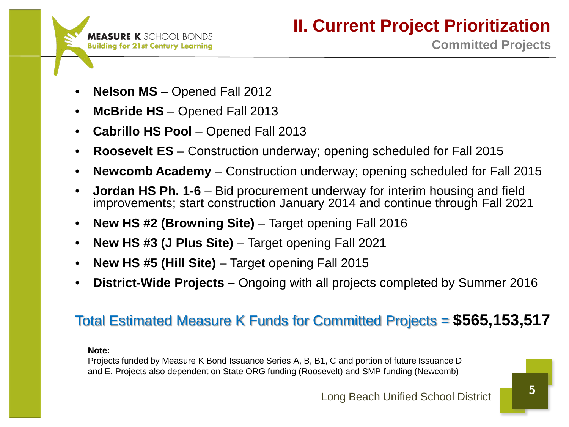

- **Nelson MS**  Opened Fall 2012
- **McBride HS** Opened Fall 2013
- **Cabrillo HS Pool**  Opened Fall 2013
- **Roosevelt ES** Construction underway; opening scheduled for Fall 2015
- **Newcomb Academy**  Construction underway; opening scheduled for Fall 2015
- **Jordan HS Ph. 1-6** Bid procurement underway for interim housing and field improvements; start construction January 2014 and continue through Fall 2021
- **New HS #2 (Browning Site)**  Target opening Fall 2016
- **New HS #3 (J Plus Site)**  Target opening Fall 2021
- **New HS #5 (Hill Site)**  Target opening Fall 2015
- **District-Wide Projects –** Ongoing with all projects completed by Summer 2016

## Total Estimated Measure K Funds for Committed Projects = **\$565,153,517**

#### **Note:**

Projects funded by Measure K Bond Issuance Series A, B, B1, C and portion of future Issuance D and E. Projects also dependent on State ORG funding (Roosevelt) and SMP funding (Newcomb)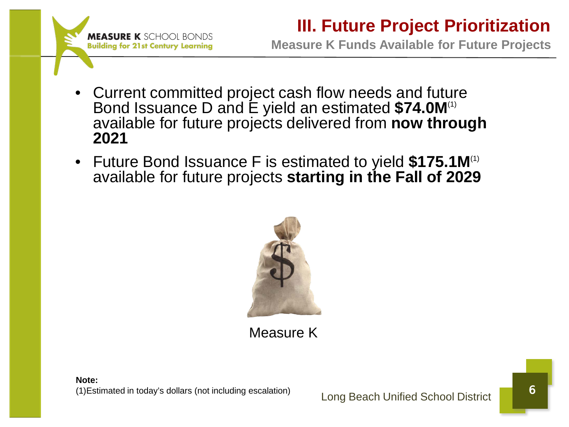

## **III. Future Project Prioritization**

**Measure K Funds Available for Future Projects**

- Current committed project cash flow needs and future Bond Issuance D and E yield an estimated **\$74.0M**(1) available for future projects delivered from **now through 2021**
- Future Bond Issuance F is estimated to yield **\$175.1M**(1) available for future projects **starting in the Fall of 2029**



Measure K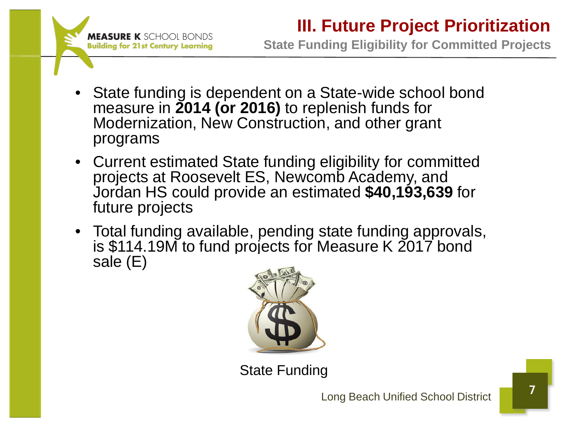

**State Funding Eligibility for Committed Projects**

- State funding is dependent on a State-wide school bond measure in **2014 (or 2016)** to replenish funds for Modernization, New Construction, and other grant programs
- Current estimated State funding eligibility for committed projects at Roosevelt ES, Newcomb Academy, and Jordan HS could provide an estimated **\$40,193,639** for future projects
- Total funding available, pending state funding approvals, is \$114.19M to fund projects for Measure K 2017 bond sale (E)



State Funding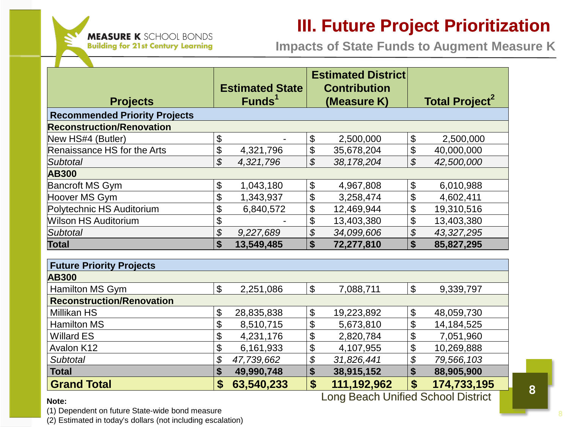

## **III. Future Project Prioritization**

**Impacts of State Funds to Augment Measure K**

|                                      |                           |                        |                            | <b>Estimated District</b> |                            |                                  |  |
|--------------------------------------|---------------------------|------------------------|----------------------------|---------------------------|----------------------------|----------------------------------|--|
|                                      |                           | <b>Estimated State</b> |                            | <b>Contribution</b>       |                            |                                  |  |
| <b>Projects</b>                      |                           | Funds <sup>1</sup>     |                            | (Measure K)               |                            | <b>Total Project<sup>2</sup></b> |  |
| <b>Recommended Priority Projects</b> |                           |                        |                            |                           |                            |                                  |  |
| <b>Reconstruction/Renovation</b>     |                           |                        |                            |                           |                            |                                  |  |
| New HS#4 (Butler)                    | \$                        |                        | \$                         | 2,500,000                 | \$                         | 2,500,000                        |  |
| Renaissance HS for the Arts          | \$                        | 4,321,796              | \$                         | 35,678,204                | \$                         | 40,000,000                       |  |
| Subtotal                             | \$                        | 4,321,796              | $\mathcal{L}$              | 38, 178, 204              | \$                         | 42,500,000                       |  |
| <b>AB300</b>                         |                           |                        |                            |                           |                            |                                  |  |
| Bancroft MS Gym                      | \$                        | 1,043,180              | \$                         | 4,967,808                 | \$                         | 6,010,988                        |  |
| Hoover MS Gym                        | \$                        | 1,343,937              | \$                         | 3,258,474                 | $\mathfrak{S}$             | 4,602,411                        |  |
| Polytechnic HS Auditorium            | \$                        | 6,840,572              | \$                         | 12,469,944                | \$                         | 19,310,516                       |  |
| <b>Wilson HS Auditorium</b>          | \$                        |                        | \$                         | 13,403,380                | \$                         | 13,403,380                       |  |
| Subtotal                             | \$                        | 9,227,689              | \$                         | 34,099,606                | \$                         | 43,327,295                       |  |
| <b>Total</b>                         | $\boldsymbol{\mathsf{s}}$ | 13,549,485             | \$                         | 72,277,810                | \$                         | 85,827,295                       |  |
|                                      |                           |                        |                            |                           |                            |                                  |  |
| <b>Future Priority Projects</b>      |                           |                        |                            |                           |                            |                                  |  |
| <b>AB300</b>                         |                           |                        |                            |                           |                            |                                  |  |
| Hamilton MS Gym                      | $\boldsymbol{\mathsf{S}}$ | 2,251,086              | $\boldsymbol{\mathsf{S}}$  | 7,088,711                 | \$                         | 9,339,797                        |  |
| <b>Reconstruction/Renovation</b>     |                           |                        |                            |                           |                            |                                  |  |
| Millikan HS                          | \$                        | 28,835,838             | $\boldsymbol{\theta}$      | 19,223,892                | \$                         | 48,059,730                       |  |
| <b>Hamilton MS</b>                   | \$                        | 8,510,715              | $\boldsymbol{\mathsf{S}}$  | 5,673,810                 | \$                         | 14,184,525                       |  |
| Willard ES                           | \$                        | 4,231,176              | $\boldsymbol{\mathsf{\$}}$ | 2,820,784                 | \$                         | 7,051,960                        |  |
| Avalon K12                           | \$                        | 6,161,933              | \$                         | 4,107,955                 | \$                         | 10,269,888                       |  |
| <b>Subtotal</b>                      | \$                        | 47,739,662             | \$                         | 31,826,441                | $\boldsymbol{\mathcal{S}}$ | 79,566,103                       |  |
| <b>Total</b>                         | \$                        | 49,990,748             | \$                         | 38,915,152                | \$                         | 88,905,900                       |  |
| <b>Grand Total</b>                   | \$                        | 63,540,233             | \$                         | 111,192,962               | \$                         | 174,733,195                      |  |

## 8 Long Beach Unified School District

**Note:**

(1) Dependent on future State-wide bond measure

(2) Estimated in today's dollars (not including escalation)

8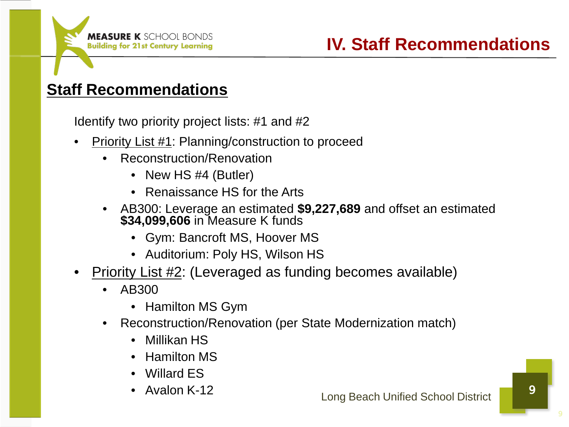## **Staff Recommendations**

Identify two priority project lists: #1 and #2

- Priority List #1: Planning/construction to proceed
	- Reconstruction/Renovation
		- New HS #4 (Butler)
		- Renaissance HS for the Arts
	- AB300: Leverage an estimated **\$9,227,689** and offset an estimated **\$34,099,606** in Measure K funds
		- Gym: Bancroft MS, Hoover MS
		- Auditorium: Poly HS, Wilson HS
- Priority List #2: (Leveraged as funding becomes available)
	- AB300
		- Hamilton MS Gym
	- Reconstruction/Renovation (per State Modernization match)
		- Millikan HS
		- Hamilton MS
		- Willard ES
		- Avalon K-12